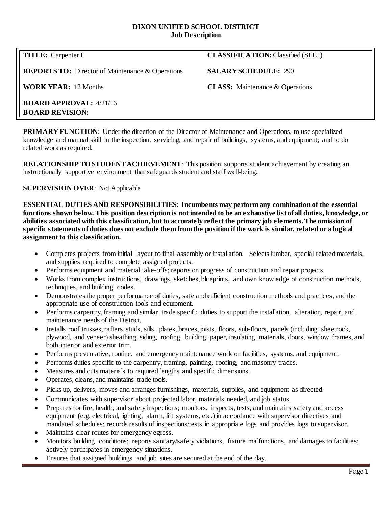### **DIXON UNIFIED SCHOOL DISTRICT Job Description**

**REPORTS TO:** Director of Maintenance & Operations **SALARY SCHEDULE:** 290

# **TITLE:** Carpenter I **CLASSIFICATION:** Classified (SEIU)

**WORK YEAR:** 12 Months **CLASS:** Maintenance & Operations

**BOARD APPROVAL:** 4/21/16 **BOARD REVISION:**

**PRIMARY FUNCTION:** Under the direction of the Director of Maintenance and Operations, to use specialized knowledge and manual skill in the inspection, servicing, and repair of buildings, systems, and equipment; and to do related work as required.

**RELATIONSHIP TO STUDENT ACHIEVEMENT**: This position supports student achievement by creating an instructionally supportive environment that safeguards student and staff well-being.

## **SUPERVISION OVER**: Not Applicable

**ESSENTIAL DUTIES AND RESPONSIBILITIES**: **Incumbents may perform any combination of the essential functions shown below. This position description is not intended to be an exhaustive list of all duties, knowledge, or abilities associated with this classification, but to accurately reflect the primary job elements. The omission of specific statements of duties does not exclude them from the position if the work is similar, related or a logical assignment to this classification.**

- Completes projects from initial layout to final assembly or installation. Selects lumber, special related materials, and supplies required to complete assigned projects.
- Performs equipment and material take-offs; reports on progress of construction and repair projects.
- Works from complex instructions, drawings, sketches, blueprints, and own knowledge of construction methods, techniques, and building codes.
- Demonstrates the proper performance of duties, safe and efficient construction methods and practices, and the appropriate use of construction tools and equipment.
- Performs carpentry, framing and similar trade specific duties to support the installation, alteration, repair, and maintenance needs of the District.
- Installs roof trusses, rafters, studs, sills, plates, braces, joists, floors, sub-floors, panels (including sheetrock, plywood, and veneer) sheathing, siding, roofing, building paper, insulating materials, doors, window frames, and both interior and exterior trim.
- Performs preventative, routine, and emergency maintenance work on facilities, systems, and equipment.
- Performs duties specific to the carpentry, framing, painting, roofing, and masonry trades.
- Measures and cuts materials to required lengths and specific dimensions.
- Operates, cleans, and maintains trade tools.
- Picks up, delivers, moves and arranges furnishings, materials, supplies, and equipment as directed.
- Communicates with supervisor about projected labor, materials needed, and job status.
- Prepares for fire, health, and safety inspections; monitors, inspects, tests, and maintains safety and access equipment (e.g. electrical, lighting, alarm, lift systems, etc.) in accordance with supervisor directives and mandated schedules; records results of inspections/tests in appropriate logs and provides logs to supervisor.
- Maintains clear routes for emergency egress.
- Monitors building conditions; reports sanitary/safety violations, fixture malfunctions, and damages to facilities; actively participates in emergency situations.
- Ensures that assigned buildings and job sites are secured at the end of the day.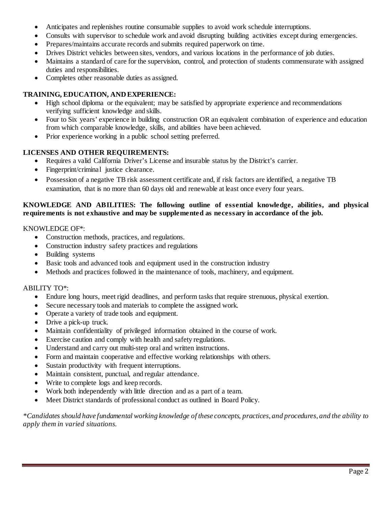- Anticipates and replenishes routine consumable supplies to avoid work schedule interruptions.
- Consults with supervisor to schedule work and avoid disrupting building activities except during emergencies.
- Prepares/maintains accurate records and submits required paperwork on time.
- Drives District vehicles between sites, vendors, and various locations in the performance of job duties.
- Maintains a standard of care for the supervision, control, and protection of students commensurate with assigned duties and responsibilities.
- Completes other reasonable duties as assigned.

## **TRAINING, EDUCATION, AND EXPERIENCE:**

- High school diploma or the equivalent; may be satisfied by appropriate experience and recommendations verifying sufficient knowledge and skills.
- Four to Six years' experience in building construction OR an equivalent combination of experience and education from which comparable knowledge, skills, and abilities have been achieved.
- Prior experience working in a public school setting preferred.

## **LICENSES AND OTHER REQUIREMENTS:**

- Requires a valid California Driver's License and insurable status by the District's carrier.
- Fingerprint/criminal justice clearance.
- Possession of a negative TB risk assessment certificate and, if risk factors are identified, a negative TB examination, that is no more than 60 days old and renewable at least once every four years.

### **KNOWLEDGE AND ABILITIES: The following outline of essential knowledge, abilities, and physical requirements is not exhaustive and may be supplemented as necessary in accordance of the job.**

### KNOWLEDGE OF\*:

- Construction methods, practices, and regulations.
- Construction industry safety practices and regulations
- Building systems
- Basic tools and advanced tools and equipment used in the construction industry
- Methods and practices followed in the maintenance of tools, machinery, and equipment.

#### ABILITY TO\*:

- Endure long hours, meet rigid deadlines, and perform tasks that require strenuous, physical exertion.
- Secure necessary tools and materials to complete the assigned work.
- Operate a variety of trade tools and equipment.
- Drive a pick-up truck.
- Maintain confidentiality of privileged information obtained in the course of work.
- Exercise caution and comply with health and safety regulations.
- Understand and carry out multi-step oral and written instructions.
- Form and maintain cooperative and effective working relationships with others.
- Sustain productivity with frequent interruptions.
- Maintain consistent, punctual, and regular attendance.
- Write to complete logs and keep records.
- Work both independently with little direction and as a part of a team.
- Meet District standards of professional conduct as outlined in Board Policy.

*\*Candidates should have fundamental working knowledge of these concepts, practices, and procedures, and the ability to apply them in varied situations.*